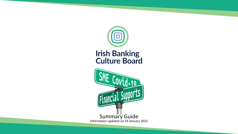

# **Irish Banking<br>Culture Board**

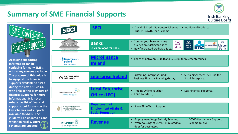## **Summary of SME Financial Supports**



፠

**Bank** 

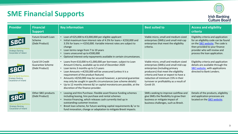

| <b>Provider</b>                                                                      | <b>Financial</b><br><b>Support</b>                           | <b>Key information</b>                                                                                                                                                                                                                                                                                                                                                                                                                                                                                                                                  | <b>Best suited to</b>                                                                                                                                                                                                                                                                         | <b>Access and eligibility</b><br>criteria                                                                                                                                                                                 |
|--------------------------------------------------------------------------------------|--------------------------------------------------------------|---------------------------------------------------------------------------------------------------------------------------------------------------------------------------------------------------------------------------------------------------------------------------------------------------------------------------------------------------------------------------------------------------------------------------------------------------------------------------------------------------------------------------------------------------------|-----------------------------------------------------------------------------------------------------------------------------------------------------------------------------------------------------------------------------------------------------------------------------------------------|---------------------------------------------------------------------------------------------------------------------------------------------------------------------------------------------------------------------------|
| lere to build business.<br>Strategic Banking<br>Corporation of Ireland               | <b>Future Growth Loan</b><br>Scheme<br>(Debt Product)        | • Loan of €25,000 to €3,000,000 per eligible applicant<br>Initial maximum loan interest rate of 4.5% for loans < €250,000 and<br>3.5% for loans >= $£250,000$ . Variable interest rates are subject to<br>change<br>Loan terms range from 7 to 10 years<br>Loans unsecured up to €500,000<br>Optional interest-only repayments available in certain circumstances.                                                                                                                                                                                      | Viable micro, small and medium-sized<br>enterprises (SMEs) and small mid-cap<br>enterprises that meet the eligibility<br>criteria.                                                                                                                                                            | Eligibility criteria and application<br>for an eligibility code can be found<br>on the <b>SBCI</b> website. The code is<br>then provided to your finance<br>provider who will review and<br>process the loan application. |
| SBC<br>Here to build business.<br>Strategic Banking<br>Corporation of Ireland        | Covid 19 Credit<br><b>Guarantee Scheme</b><br>(Debt Product) | • Loans from €10,000 to €1,000,000 per borrower, subject to Loan<br>Amount Criteria, available up to end of December 2020<br>Loan terms 3 months up to 5.5 years<br>$\bullet$<br>Loan Amounts = <€250,000 will be unsecured (unless it is a<br>$\bullet$<br>requirement of the product feature)<br>Amounts > €250,000 may be secured however, a personal guarantee<br>may only be sought in specific circumstances (see scheme details)<br>Up to 12 months interest &/ or capital moratoria are possible, at the<br>discretion of the finance provider. | Viable micro, small and medium-sized<br>enterprises (SMEs) and small mid-cap<br>enterprises (including primary<br>producers) that meet the eligibility<br>criteria and have or expect to have a<br>reduction of minimum 15% in their<br>turnover or profitability as a result of<br>Covid-19. | Eligibility criteria and application<br>details are available through the<br>SBCI website, with applications<br>directed to Bank Lenders.                                                                                 |
| <b>SBC</b><br>Here to build business.<br>Strategic Banking<br>Corporation of Ireland | Other SBCI products<br>(Debt Product)                        | Leasing and Hire Purchase. Flexible asset finance funding schemes<br>including leasing, hire purchase and rental schemes<br>Invoice Financing, which releases cash currently tied up in<br>outstanding customer invoices<br>Brexit loan scheme, for future working capital requirements &/ or to<br>fund innovation, change or adaptation to mitigate Brexit impacts.                                                                                                                                                                                   | SMEs seeking to improve cashflow and<br>give SMEs the flexibility to grow their<br>business or mitigate impact of<br>business challenges, such as Brexit.                                                                                                                                     | Details of the products, eligibility<br>and application processes are<br>located on the SBCI website.                                                                                                                     |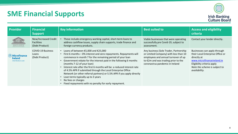

| <b>Provider</b>                                                           | <b>Financial</b><br><b>Support</b>                          | <b>Key information</b>                                                                                                                                                                                                                                                                                                                                                                                                                                                                                                                                                                                                   | <b>Best suited to</b>                                                                                                                                                                            | <b>Access and eligibility</b><br>criteria                                                                                                                                                     |
|---------------------------------------------------------------------------|-------------------------------------------------------------|--------------------------------------------------------------------------------------------------------------------------------------------------------------------------------------------------------------------------------------------------------------------------------------------------------------------------------------------------------------------------------------------------------------------------------------------------------------------------------------------------------------------------------------------------------------------------------------------------------------------------|--------------------------------------------------------------------------------------------------------------------------------------------------------------------------------------------------|-----------------------------------------------------------------------------------------------------------------------------------------------------------------------------------------------|
| [317] / [3]                                                               | New/Increased Credit<br><b>Facilities</b><br>(Debt Product) | These include emergency working capital, short-term loans to<br>address cashflow issues, supply chain supports, trade finance and<br>foreign currency products.                                                                                                                                                                                                                                                                                                                                                                                                                                                          | Viable businesses that were operating<br>successfully pre Covid-19, subject to<br>assessment.                                                                                                    | Contact your lender directly.                                                                                                                                                                 |
| $\mathbb N$ Microfinance<br><b>Ireland</b><br><b>Small Business Loans</b> | <b>COVID-19 Business</b><br>Loans<br>(Debt Product)         | • Loans of between $£5,000$ and $£25,000$<br>First 6 months – 0% interest and zero repayments. Repayments will<br>commence in month 7 for the remaining period of your loan<br>Government rebate for the interest paid in the following 6 months<br>(months 7-12 of your loan)<br>Interest rate after the first 6 months will be: a reduced interest rate<br>of 4.5% APR if submitted through the Local Enterprise Office<br>Network (or other referral partners) or 5.5% APR if you apply directly<br>Loan terms typically up to 3 years<br>No fees or charges<br>Fixed repayments with no penalty for early repayment. | Any business (Sole Trader, Partnership<br>or Limited Company) with less than 10<br>employees and annual turnover of up<br>to €2m and was trading prior to the<br>coronavirus pandemic in Ireland | Businesses can apply through<br>their Local Enterprise Office or<br>directly at<br>www.microfinanceireland.ie<br>Eligibility criteria apply<br>Note the scheme is subject to<br>availability. |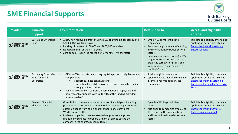

| Provider                             | <b>Financial</b><br><b>Support</b>                           | <b>Key information</b>                                                                                                                                                                                                                                                                                                                                                                                  | <b>Best suited to</b>                                                                                                                                                                                                                                                                                          | <b>Access and eligibility</b><br>criteria                                                                                                                               |
|--------------------------------------|--------------------------------------------------------------|---------------------------------------------------------------------------------------------------------------------------------------------------------------------------------------------------------------------------------------------------------------------------------------------------------------------------------------------------------------------------------------------------------|----------------------------------------------------------------------------------------------------------------------------------------------------------------------------------------------------------------------------------------------------------------------------------------------------------------|-------------------------------------------------------------------------------------------------------------------------------------------------------------------------|
| 。ENTERPRISE<br>ノ IRELAND             | <b>Sustaining Enterprise</b><br>Fund                         | A new non-repayable grant of up to 50% of a funding package (up to<br>€200,000 is available now)<br>Funding of between €100,000 and €800,000 available<br>No repayments for the first 3 years<br>Zero administration fee for the first 6 months - 4% thereafter                                                                                                                                         | Employ 10 or more full-time<br>employees<br>Are operating in the manufacturing<br>and internationally traded service<br>sectors<br>Have seen (or expect to see) a 15%<br>or greater reduction in actual or<br>projected turnover or profit, or a<br>significant increase in costs, as a<br>result of Covid-19. | Full details, eligibility criteria and<br>application details are listed at<br><b>Enterprise Ireland Sustaining</b><br><b>Enterprise fund</b>                           |
| ' ENTERPRISE<br><sup>'</sup> IRELAND | <b>Sustaining Enterprise</b><br>Fund for Small<br>Enterprise | €25k to €50k short-term working capital injection to eligible smaller<br>companies to<br>support business continuity and<br>strengthen their ability to return to growth and be trading<br>strongly in 3 years time.<br>Funding provided will comprise a combination of repayable and<br>non-repayable support, with up to 50% of the funding provided<br>non-repayable."                               | Smaller eligible companies<br>Open to eligible manufacturing and<br>internationally traded services<br>companies.                                                                                                                                                                                              | Full details, eligibility criteria and<br>application details are listed at<br><b>Enterprise Ireland Sustaining</b><br><b>Enterprise for Smaller Enterprise</b><br>Fund |
| ° ENTERPRISE<br><b>/</b> IRELAND     | <b>Business Financial</b><br><b>Planning Grant</b>           | • Grant to help companies develop a robust financial plan, including<br>preparation of documentation required to support applications for<br>external finance from banks and/or other finance providers<br>Worth up to €5,000<br>Enables companies to access external support from approved<br>financial consultants to prepare a financial plan to secure the<br>company in the short to medium terms. | • Open to all Enterprise Ireland<br>clients;<br>Also open to companies employing<br>10 or more in the manufacturing<br>and internationally traded service<br>sectors.                                                                                                                                          | Full details, eligibility criteria and<br>application details are listed at<br><b>Enterprise Ireland Covid-19</b><br><b>Business planning grant.</b>                    |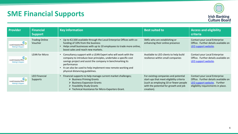

| <b>Provider</b>                                                                          | <b>Financial</b><br><b>Support</b> | <b>Key information</b>                                                                                                                                                                                                                                                                                             | <b>Best suited to</b>                                                                                                                                                             | <b>Access and eligibility</b><br>criteria                                                                                                  |
|------------------------------------------------------------------------------------------|------------------------------------|--------------------------------------------------------------------------------------------------------------------------------------------------------------------------------------------------------------------------------------------------------------------------------------------------------------------|-----------------------------------------------------------------------------------------------------------------------------------------------------------------------------------|--------------------------------------------------------------------------------------------------------------------------------------------|
| $\mathbf{c}_\mathbf{a}$<br><b>Local Enterprise Office</b><br><b>Making It Happen</b>     | <b>Trading Online</b><br>Voucher   | • Up to €2,500 available through the Local Enterprise Offices with co-<br>funding of 10% from the business<br>Helps small businesses with up to 10 employees to trade more online,<br>boost sales and reach new markets.                                                                                           | SMEs who are establishing or<br>enhancing their online presence                                                                                                                   | Contact your Local Enterprise<br>Office. Further details available on<br>LEO support website.                                              |
| $\mathbf{c}_\mathbf{\mathfrak{p}}$<br>Local Enterprise Office<br><b>Making It Happen</b> | <b>LEAN for Micro</b>              | • Consultancy support with a LEAN Expert who will work with the<br>company to introduce lean principles, undertake a specific cost<br>savings project and assist the company in benchmarking its<br>performance<br>It can also be used to help implement new remote working and<br>physical distancing guidelines. | Available to LEO clients to help build<br>resilience within small companies                                                                                                       | Contact your Local Enterprise<br>Office. Further details available on<br>LEO support website.                                              |
| <b>Local Enterprise Office</b><br><b>Making It Happen</b>                                | <b>LEO Financial</b><br>Supports   | • Financial supports to help manage current market challenges;<br>$\triangleright$ Business Priming Grants<br>$\triangleright$ Business Expansion Grants<br>$\triangleright$ Feasibility Study Grants<br>$\triangleright$ Technical Assistance for Micro-Exporters Grant.                                          | For existing companies and potential<br>start-ups that meet eligibility criteria<br>(such as employing 10 or fewer people)<br>with the potential for growth and job<br>creation). | Contact your Local Enterprise<br>Office. Further details available on<br>LEO support website Further<br>eligibility requirements in place. |